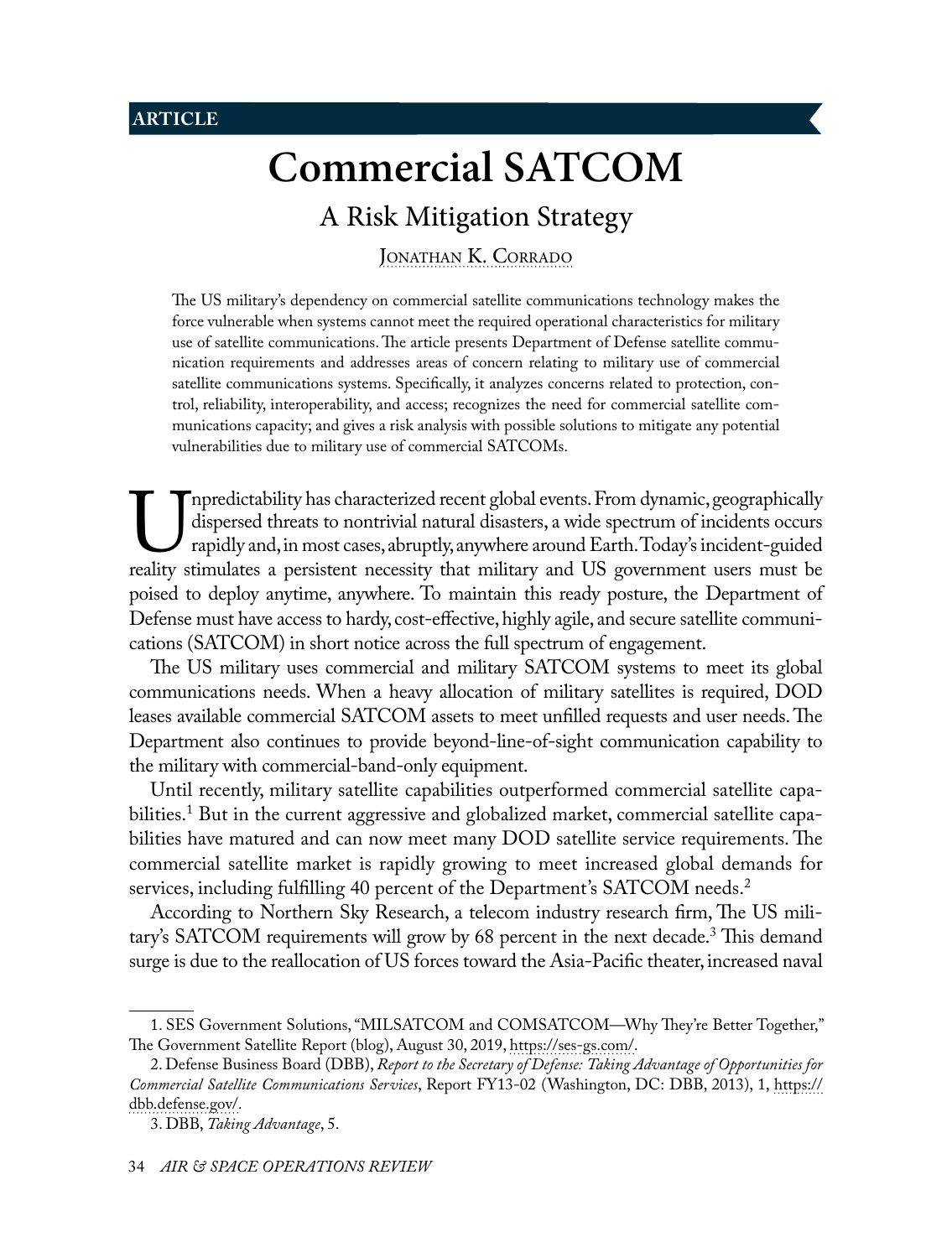# **Commercial SATCOM**

## A Risk Mitigation Strategy

<span id="page-0-0"></span>JONATHAN K. CORRADO

The US military's dependency on commercial satellite communications technology makes the force vulnerable when systems cannot meet the required operational characteristics for military use of satellite communications. The article presents Department of Defense satellite communication requirements and addresses areas of concern relating to military use of commercial satellite communications systems. Specifically, it analyzes concerns related to protection, control, reliability, interoperability, and access; recognizes the need for commercial satellite communications capacity; and gives a risk analysis with possible solutions to mitigate any potential vulnerabilities due to military use of commercial SATCOMs.

Inpredictability has characterized recent global events. From dynamic, geographically dispersed threats to nontrivial natural disasters, a wide spectrum of incidents occurs rapidly and, in most cases, abruptly, anywhere ar dispersed threats to nontrivial natural disasters, a wide spectrum of incidents occurs rapidly and, in most cases, abruptly, anywhere around Earth. Today's incident-guided reality stimulates a persistent necessity that military and US government users must be poised to deploy anytime, anywhere. To maintain this ready posture, the Department of Defense must have access to hardy, cost-effective, highly agile, and secure satellite communications (SATCOM) in short notice across the full spectrum of engagement.

The US military uses commercial and military SATCOM systems to meet its global communications needs. When a heavy allocation of military satellites is required, DOD leases available commercial SATCOM assets to meet unfilled requests and user needs. The Department also continues to provide beyond-line-of-sight communication capability to the military with commercial-band-only equipment.

Until recently, military satellite capabilities outperformed commercial satellite capabilities.1 But in the current aggressive and globalized market, commercial satellite capabilities have matured and can now meet many DOD satellite service requirements. The commercial satellite market is rapidly growing to meet increased global demands for services, including fulfilling 40 percent of the Department's SATCOM needs.<sup>2</sup>

According to Northern Sky Research, a telecom industry research firm, The US military's SATCOM requirements will grow by 68 percent in the next decade.3 This demand surge is due to the reallocation of US forces toward the Asia-Pacific theater, increased naval

<sup>1.</sup> SES Government Solutions, "MILSATCOM and COMSATCOM—Why They're Better Together," The Government Satellite Report (blog), August 30, 2019, [https://ses-gs.com/.](https://ses-gs.com/govsat/govsat/milsatcom-and-comsatcom-why-theyre-better-together/)

<sup>2.</sup> Defense Business Board (DBB), *Report to the Secretary of Defense: Taking Advantage of Opportunities for Commercial Satellite Communications Services*, Report FY13-02 (Washington, DC: DBB, 2013), 1, [https://](https://dbb.defense.gov/Portals/35/Documents/Reports/2013/FY13-02%20Taking%20Advantage%20of%20Opportunities%20for%20Commercial%20Satellite%20Communications%20Services.pdf) [dbb.defense.gov/.](https://dbb.defense.gov/Portals/35/Documents/Reports/2013/FY13-02%20Taking%20Advantage%20of%20Opportunities%20for%20Commercial%20Satellite%20Communications%20Services.pdf)

<sup>3.</sup> DBB, *Taking Advantage*, 5.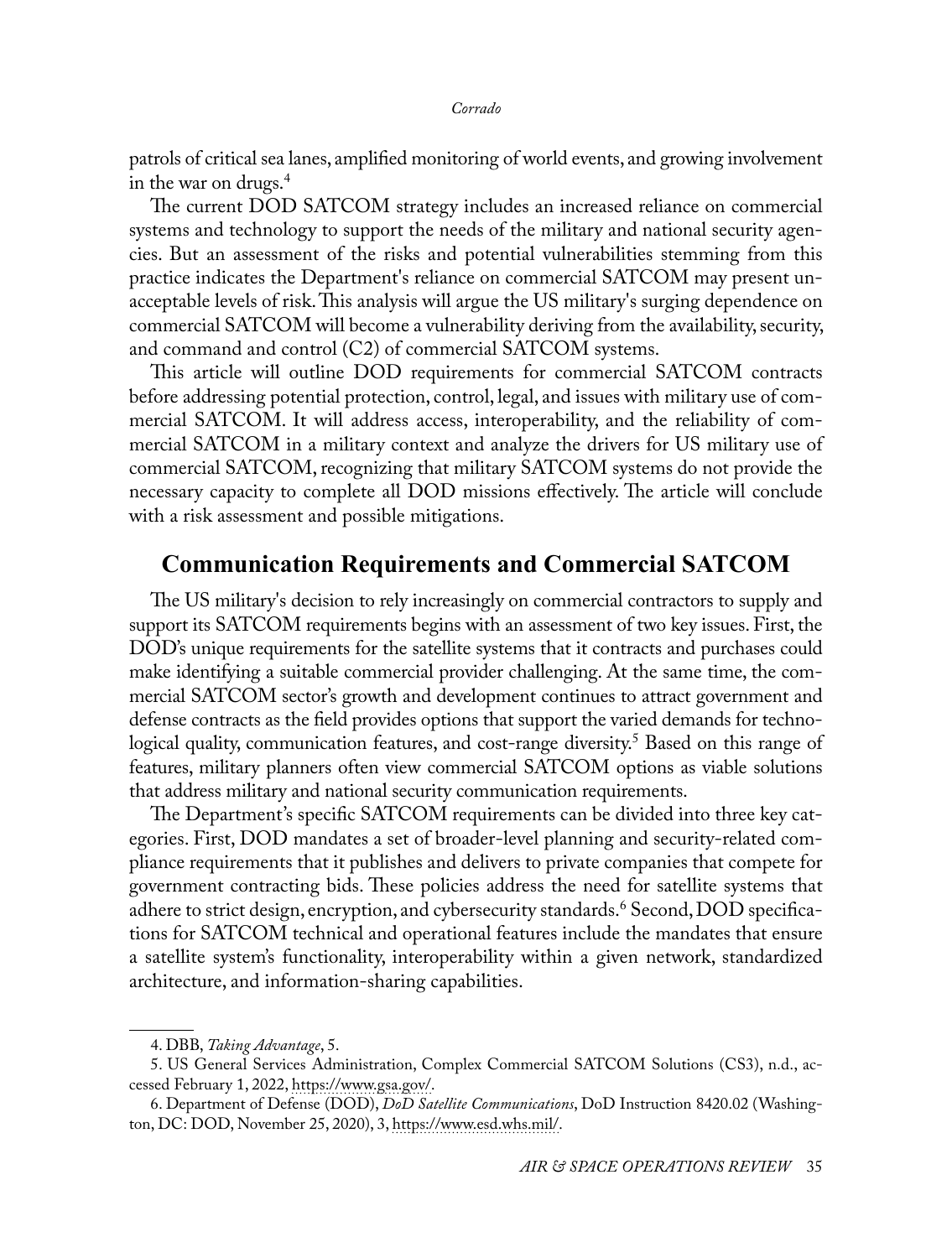patrols of critical sea lanes, amplified monitoring of world events, and growing involvement in the war on drugs.<sup>4</sup>

The current DOD SATCOM strategy includes an increased reliance on commercial systems and technology to support the needs of the military and national security agencies. But an assessment of the risks and potential vulnerabilities stemming from this practice indicates the Department's reliance on commercial SATCOM may present unacceptable levels of risk. This analysis will argue the US military's surging dependence on commercial SATCOM will become a vulnerability deriving from the availability, security, and command and control (C2) of commercial SATCOM systems.

This article will outline DOD requirements for commercial SATCOM contracts before addressing potential protection, control, legal, and issues with military use of commercial SATCOM. It will address access, interoperability, and the reliability of commercial SATCOM in a military context and analyze the drivers for US military use of commercial SATCOM, recognizing that military SATCOM systems do not provide the necessary capacity to complete all DOD missions effectively. The article will conclude with a risk assessment and possible mitigations.

## **Communication Requirements and Commercial SATCOM**

The US military's decision to rely increasingly on commercial contractors to supply and support its SATCOM requirements begins with an assessment of two key issues. First, the DOD's unique requirements for the satellite systems that it contracts and purchases could make identifying a suitable commercial provider challenging. At the same time, the commercial SATCOM sector's growth and development continues to attract government and defense contracts as the field provides options that support the varied demands for technological quality, communication features, and cost-range diversity.<sup>5</sup> Based on this range of features, military planners often view commercial SATCOM options as viable solutions that address military and national security communication requirements.

The Department's specific SATCOM requirements can be divided into three key categories. First, DOD mandates a set of broader-level planning and security-related compliance requirements that it publishes and delivers to private companies that compete for government contracting bids. These policies address the need for satellite systems that adhere to strict design, encryption, and cybersecurity standards.<sup>6</sup> Second, DOD specifications for SATCOM technical and operational features include the mandates that ensure a satellite system's functionality, interoperability within a given network, standardized architecture, and information-sharing capabilities.

<sup>4.</sup> DBB, *Taking Advantage*, 5.

<sup>5.</sup> US General Services Administration, Complex Commercial SATCOM Solutions (CS3), n.d., accessed February 1, 2022, [https://www.gsa.gov/.](https://www.gsa.gov/technology/technology-purchasing-programs/telecommunications-and-network-services/satellite-communications/complex-commercial-satcom-solutions-cs3)

<sup>6.</sup> Department of Defense (DOD), *DoD Satellite Communications*, DoD Instruction 8420.02 (Washington, DC: DOD, November 25, 2020), 3, [https://www.esd.whs.mil/.](https://www.esd.whs.mil/Portals/54/Documents/DD/issuances/dodi/842002p.pdf?ver=Yn9vTMmEmry8GZbCpCUgPA%3D%3D)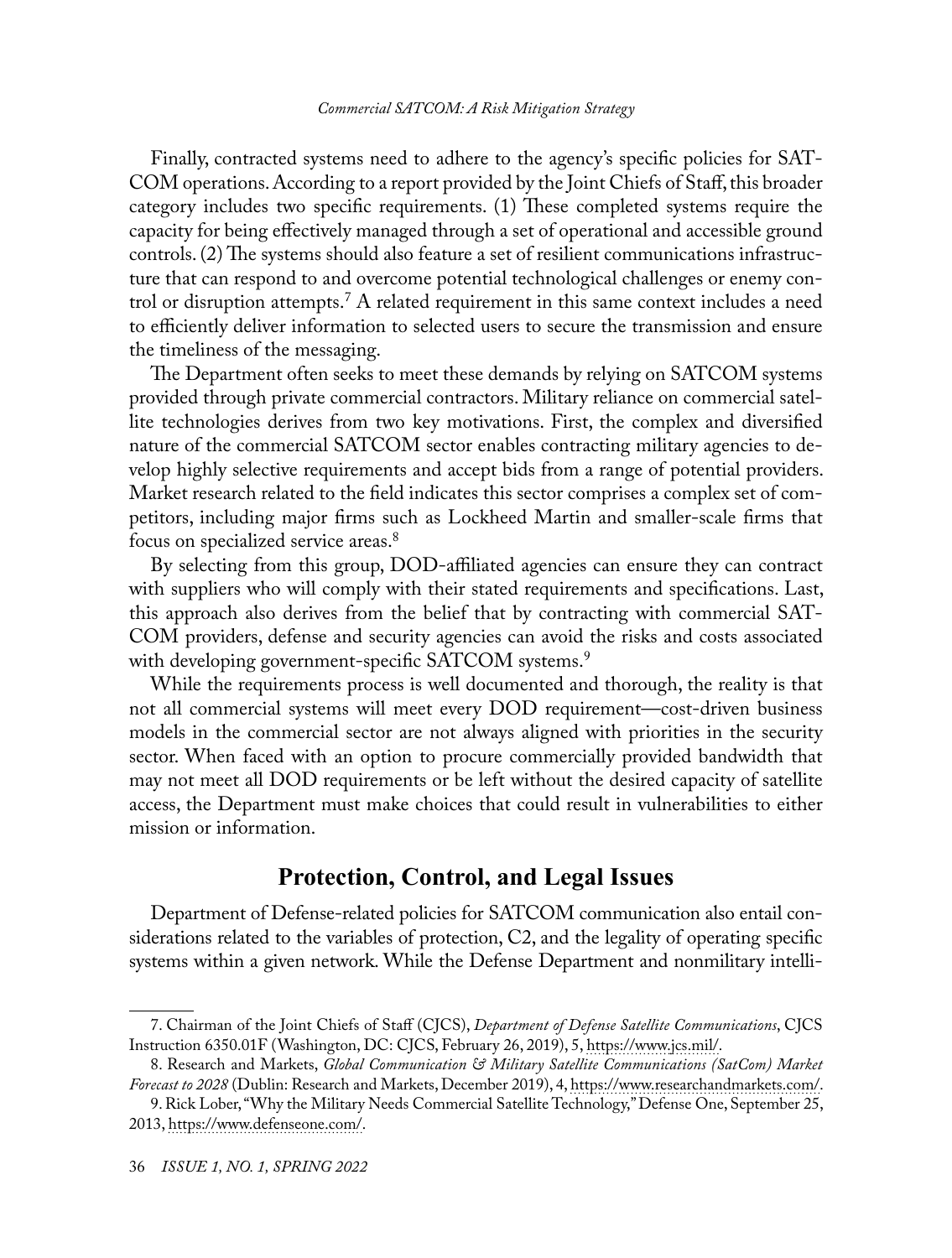Finally, contracted systems need to adhere to the agency's specific policies for SAT-COM operations. According to a report provided by the Joint Chiefs of Staff, this broader category includes two specific requirements. (1) These completed systems require the capacity for being effectively managed through a set of operational and accessible ground controls. (2) The systems should also feature a set of resilient communications infrastructure that can respond to and overcome potential technological challenges or enemy control or disruption attempts.<sup>7</sup> A related requirement in this same context includes a need to efficiently deliver information to selected users to secure the transmission and ensure the timeliness of the messaging.

The Department often seeks to meet these demands by relying on SATCOM systems provided through private commercial contractors. Military reliance on commercial satellite technologies derives from two key motivations. First, the complex and diversified nature of the commercial SATCOM sector enables contracting military agencies to develop highly selective requirements and accept bids from a range of potential providers. Market research related to the field indicates this sector comprises a complex set of competitors, including major firms such as Lockheed Martin and smaller-scale firms that focus on specialized service areas.8

By selecting from this group, DOD-affiliated agencies can ensure they can contract with suppliers who will comply with their stated requirements and specifications. Last, this approach also derives from the belief that by contracting with commercial SAT-COM providers, defense and security agencies can avoid the risks and costs associated with developing government-specific SATCOM systems.<sup>9</sup>

While the requirements process is well documented and thorough, the reality is that not all commercial systems will meet every DOD requirement—cost-driven business models in the commercial sector are not always aligned with priorities in the security sector. When faced with an option to procure commercially provided bandwidth that may not meet all DOD requirements or be left without the desired capacity of satellite access, the Department must make choices that could result in vulnerabilities to either mission or information.

### **Protection, Control, and Legal Issues**

Department of Defense-related policies for SATCOM communication also entail considerations related to the variables of protection, C2, and the legality of operating specific systems within a given network. While the Defense Department and nonmilitary intelli-

<sup>7.</sup> Chairman of the Joint Chiefs of Staff (CJCS), *Department of Defense Satellite Communications*, CJCS Instruction 6350.01F (Washington, DC: CJCS, February 26, 2019), 5, [https://www.jcs.mil/.](https://www.jcs.mil/Portals/36/Documents/Library/Instructions/CJCSI%206250.01F.pdf?ver=2019-03-18-121700-237)

<sup>8.</sup> Research and Markets, *Global Communication & Military Satellite Communications (SatCom) Market Forecast to 2028* (Dublin: Research and Markets, December 2019), 4, [https://www.researchandmarkets.com/](https://www.researchandmarkets.com/reports/4900306/global-commercial-and-military-satellite?utm_source=dynamic&utm_medium=GNOM&utm_code=77x5wp&utm_campaign=1361812+-+Global+Commercial+%26+Military+Satellite+Communications+(SatCom)+Market+%26+Technology+Forecast+to+2028&utm_exec=joca220gnomd).

<sup>9.</sup> Rick Lober, "Why the Military Needs Commercial Satellite Technology," Defense One, September 25, 2013, [https://www.defenseone.com/.](https://www.defenseone.com/technology/2013/09/why-military-needs-commercial-satellite-technology/70836/)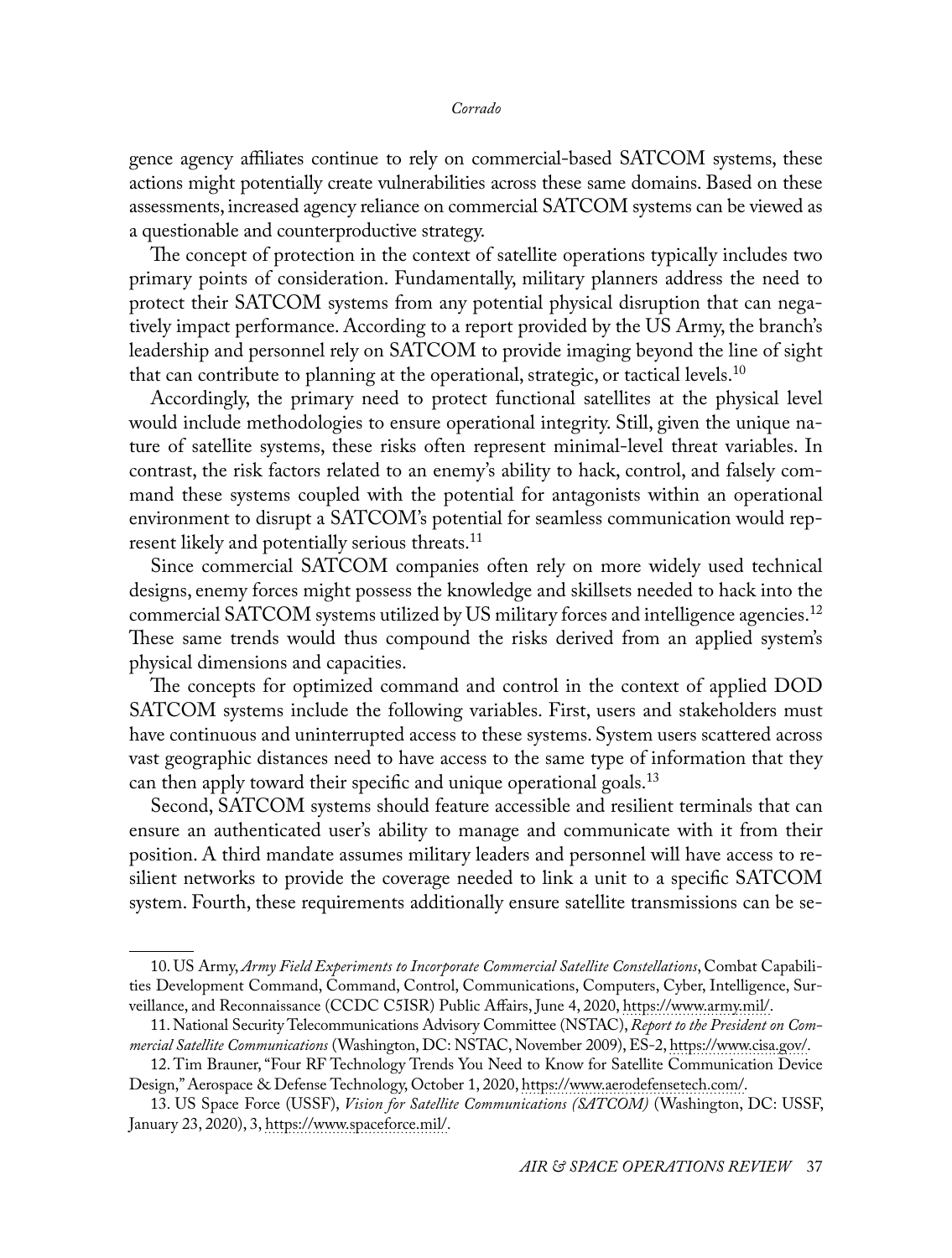gence agency affiliates continue to rely on commercial-based SATCOM systems, these actions might potentially create vulnerabilities across these same domains. Based on these assessments, increased agency reliance on commercial SATCOM systems can be viewed as a questionable and counterproductive strategy.

The concept of protection in the context of satellite operations typically includes two primary points of consideration. Fundamentally, military planners address the need to protect their SATCOM systems from any potential physical disruption that can negatively impact performance. According to a report provided by the US Army, the branch's leadership and personnel rely on SATCOM to provide imaging beyond the line of sight that can contribute to planning at the operational, strategic, or tactical levels.<sup>10</sup>

Accordingly, the primary need to protect functional satellites at the physical level would include methodologies to ensure operational integrity. Still, given the unique nature of satellite systems, these risks often represent minimal-level threat variables. In contrast, the risk factors related to an enemy's ability to hack, control, and falsely command these systems coupled with the potential for antagonists within an operational environment to disrupt a SATCOM's potential for seamless communication would represent likely and potentially serious threats.<sup>11</sup>

Since commercial SATCOM companies often rely on more widely used technical designs, enemy forces might possess the knowledge and skillsets needed to hack into the commercial SATCOM systems utilized by US military forces and intelligence agencies.<sup>12</sup> These same trends would thus compound the risks derived from an applied system's physical dimensions and capacities.

The concepts for optimized command and control in the context of applied DOD SATCOM systems include the following variables. First, users and stakeholders must have continuous and uninterrupted access to these systems. System users scattered across vast geographic distances need to have access to the same type of information that they can then apply toward their specific and unique operational goals.<sup>13</sup>

Second, SATCOM systems should feature accessible and resilient terminals that can ensure an authenticated user's ability to manage and communicate with it from their position. A third mandate assumes military leaders and personnel will have access to resilient networks to provide the coverage needed to link a unit to a specific SATCOM system. Fourth, these requirements additionally ensure satellite transmissions can be se-

<sup>10.</sup> US Army, *Army Field Experiments to Incorporate Commercial Satellite Constellations*, Combat Capabilities Development Command, Command, Control, Communications, Computers, Cyber, Intelligence, Surveillance, and Reconnaissance (CCDC C5ISR) Public Affairs, June 4, 2020, [https://www.army.mil/](https://www.army.mil/article/236205/army_field_experiments_to_incorporate_commercial_satellite_constellations).

<sup>11.</sup> National Security Telecommunications Advisory Committee (NSTAC), *Report to the President on Commercial Satellite Communications* (Washington, DC: NSTAC, November 2009), ES-2, [https://www.cisa.gov/](https://www.cisa.gov/sites/default/files/publications/NSTAC%20STF%20Report%20FINAL%2011302009_0.pdf).

<sup>12.</sup> Tim Brauner, "Four RF Technology Trends You Need to Know for Satellite Communication Device Design," Aerospace & Defense Technology, October 1, 2020, [https://www.aerodefensetech.com/](https://www.aerodefensetech.com/component/content/article/adt/features/articles/37886).

<sup>13.</sup> US Space Force (USSF), *Vision for Satellite Communications (SATCOM)* (Washington, DC: USSF, January 23, 2020), 3, [https://www.spaceforce.mil/](https://www.spaceforce.mil/Portals/1/SATCOM%20Vision%20Paper.pdf).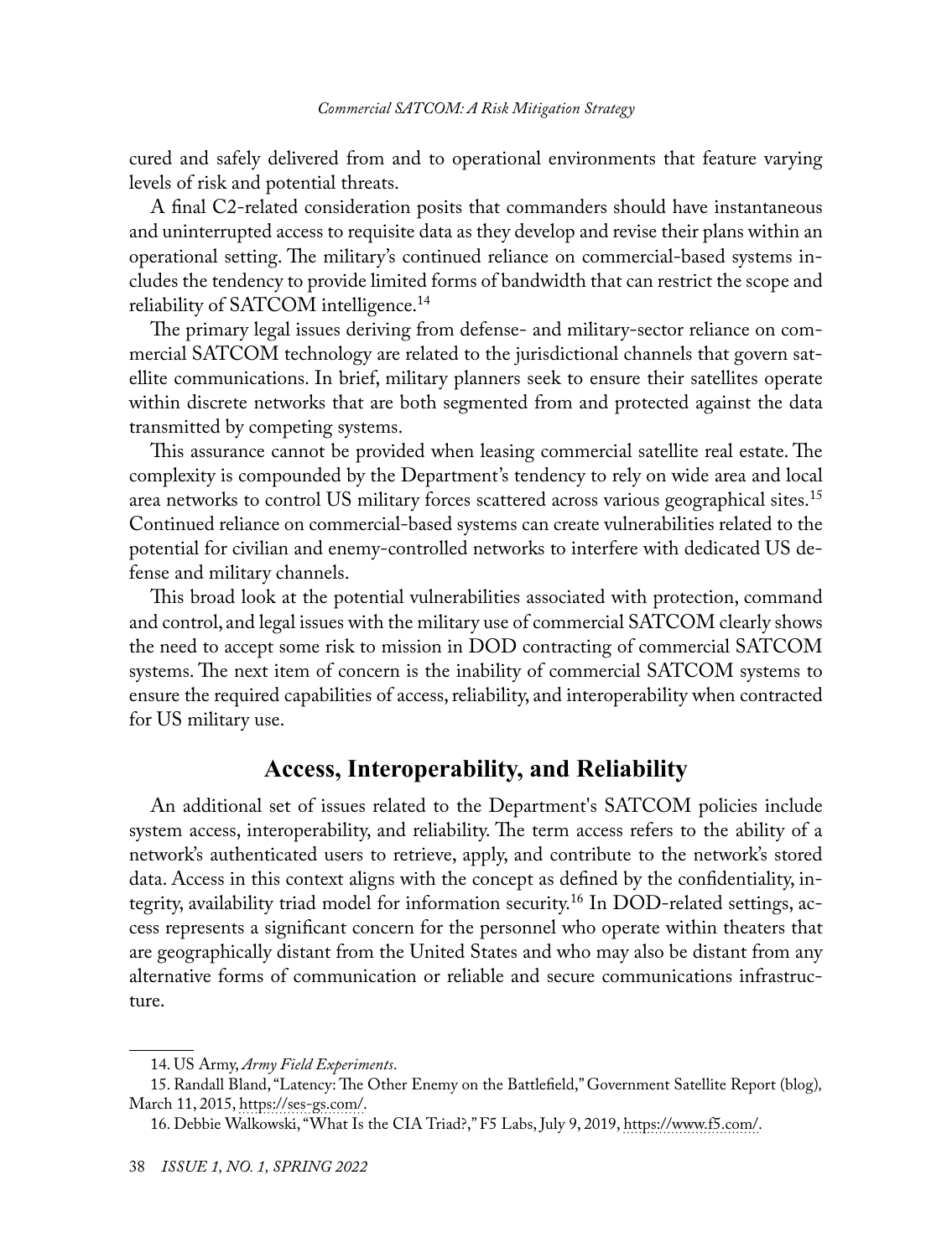cured and safely delivered from and to operational environments that feature varying levels of risk and potential threats.

A final C2-related consideration posits that commanders should have instantaneous and uninterrupted access to requisite data as they develop and revise their plans within an operational setting. The military's continued reliance on commercial-based systems includes the tendency to provide limited forms of bandwidth that can restrict the scope and reliability of SATCOM intelligence.<sup>14</sup>

The primary legal issues deriving from defense- and military-sector reliance on commercial SATCOM technology are related to the jurisdictional channels that govern satellite communications. In brief, military planners seek to ensure their satellites operate within discrete networks that are both segmented from and protected against the data transmitted by competing systems.

This assurance cannot be provided when leasing commercial satellite real estate. The complexity is compounded by the Department's tendency to rely on wide area and local area networks to control US military forces scattered across various geographical sites.<sup>15</sup> Continued reliance on commercial-based systems can create vulnerabilities related to the potential for civilian and enemy-controlled networks to interfere with dedicated US defense and military channels.

This broad look at the potential vulnerabilities associated with protection, command and control, and legal issues with the military use of commercial SATCOM clearly shows the need to accept some risk to mission in DOD contracting of commercial SATCOM systems. The next item of concern is the inability of commercial SATCOM systems to ensure the required capabilities of access, reliability, and interoperability when contracted for US military use.

### **Access, Interoperability, and Reliability**

An additional set of issues related to the Department's SATCOM policies include system access, interoperability, and reliability. The term access refers to the ability of a network's authenticated users to retrieve, apply, and contribute to the network's stored data. Access in this context aligns with the concept as defined by the confidentiality, integrity, availability triad model for information security.16 In DOD-related settings, access represents a significant concern for the personnel who operate within theaters that are geographically distant from the United States and who may also be distant from any alternative forms of communication or reliable and secure communications infrastructure.

<sup>14.</sup> US Army, *Army Field Experiments*.

<sup>15.</sup> Randall Bland, "Latency: The Other Enemy on the Battlefield," Government Satellite Report (blog)*,* March 11, 2015, [https://ses-gs.com/.](https://ses-gs.com/govsat/defense-intelligence/latency-the-other-enemy-on-the-battlefield/)

<sup>16.</sup> Debbie Walkowski, "What Is the CIA Triad?," F5 Labs, July 9, 2019, [https://www.f5.com/](https://www.f5.com/labs/articles/education/what-is-the-cia-triad).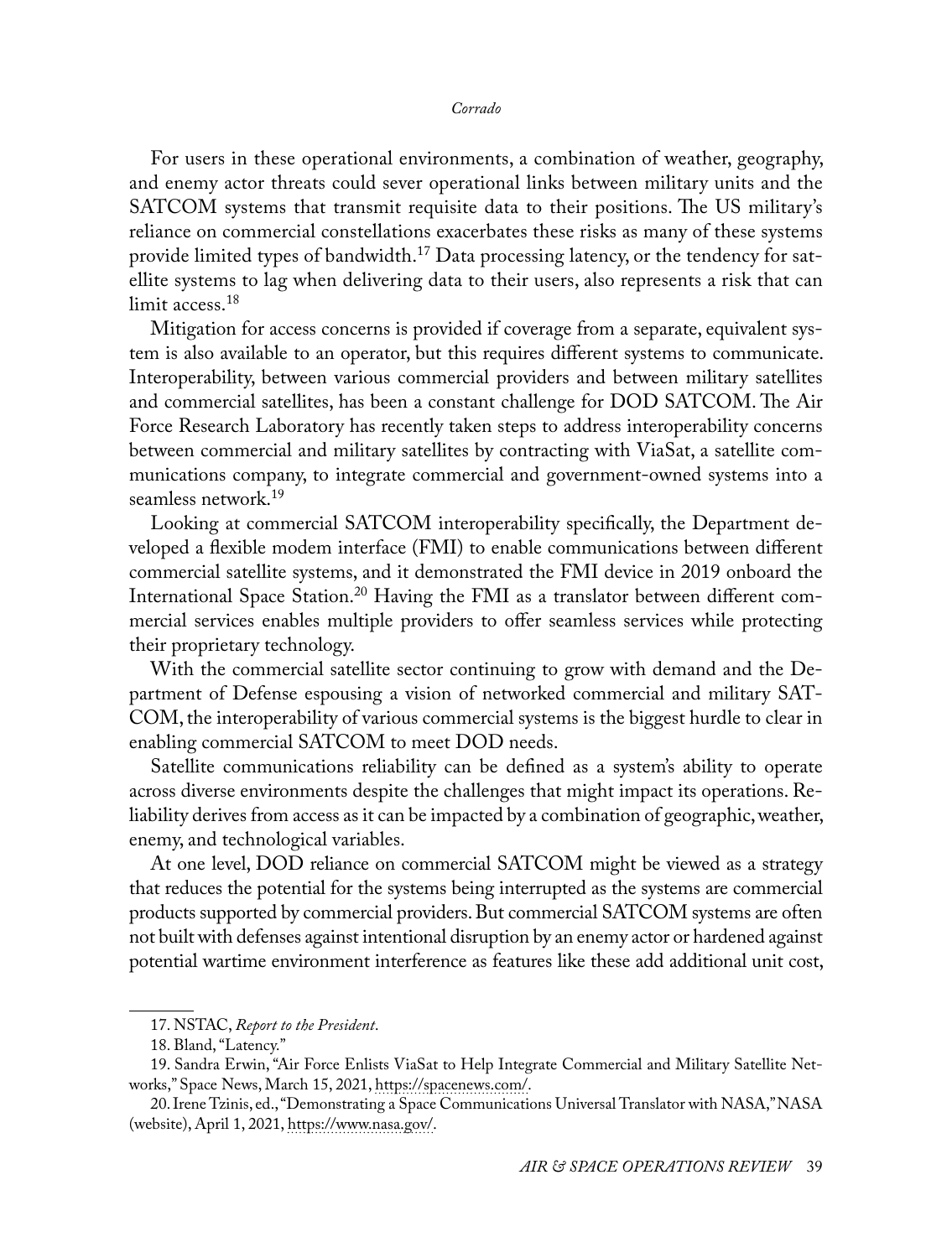For users in these operational environments, a combination of weather, geography, and enemy actor threats could sever operational links between military units and the SATCOM systems that transmit requisite data to their positions. The US military's reliance on commercial constellations exacerbates these risks as many of these systems provide limited types of bandwidth.<sup>17</sup> Data processing latency, or the tendency for satellite systems to lag when delivering data to their users, also represents a risk that can limit access.<sup>18</sup>

Mitigation for access concerns is provided if coverage from a separate, equivalent system is also available to an operator, but this requires different systems to communicate. Interoperability, between various commercial providers and between military satellites and commercial satellites, has been a constant challenge for DOD SATCOM. The Air Force Research Laboratory has recently taken steps to address interoperability concerns between commercial and military satellites by contracting with ViaSat, a satellite communications company, to integrate commercial and government-owned systems into a seamless network.19

Looking at commercial SATCOM interoperability specifically, the Department developed a flexible modem interface (FMI) to enable communications between different commercial satellite systems, and it demonstrated the FMI device in 2019 onboard the International Space Station.<sup>20</sup> Having the FMI as a translator between different commercial services enables multiple providers to offer seamless services while protecting their proprietary technology.

With the commercial satellite sector continuing to grow with demand and the Department of Defense espousing a vision of networked commercial and military SAT-COM, the interoperability of various commercial systems is the biggest hurdle to clear in enabling commercial SATCOM to meet DOD needs.

Satellite communications reliability can be defined as a system's ability to operate across diverse environments despite the challenges that might impact its operations. Reliability derives from access as it can be impacted by a combination of geographic, weather, enemy, and technological variables.

At one level, DOD reliance on commercial SATCOM might be viewed as a strategy that reduces the potential for the systems being interrupted as the systems are commercial products supported by commercial providers. But commercial SATCOM systems are often not built with defenses against intentional disruption by an enemy actor or hardened against potential wartime environment interference as features like these add additional unit cost,

<sup>17.</sup> NSTAC, *Report to the President*.

<sup>18.</sup> Bland, "Latency."

<sup>19.</sup> Sandra Erwin, "Air Force Enlists ViaSat to Help Integrate Commercial and Military Satellite Networks," Space News, March 15, 2021, [https://spacenews.com/](https://spacenews.com/air-force-enlists-viasat-to-help-integrate-commercial-and-military-satellite-networks/).

<sup>20.</sup> Irene Tzinis, ed., "Demonstrating a Space Communications Universal Translator with NASA," NASA (website), April 1, 2021, [https://www.nasa.gov/.](https://www.nasa.gov/directorates/heo/scan/services/demonstrating_a_space_comm_universal_translator)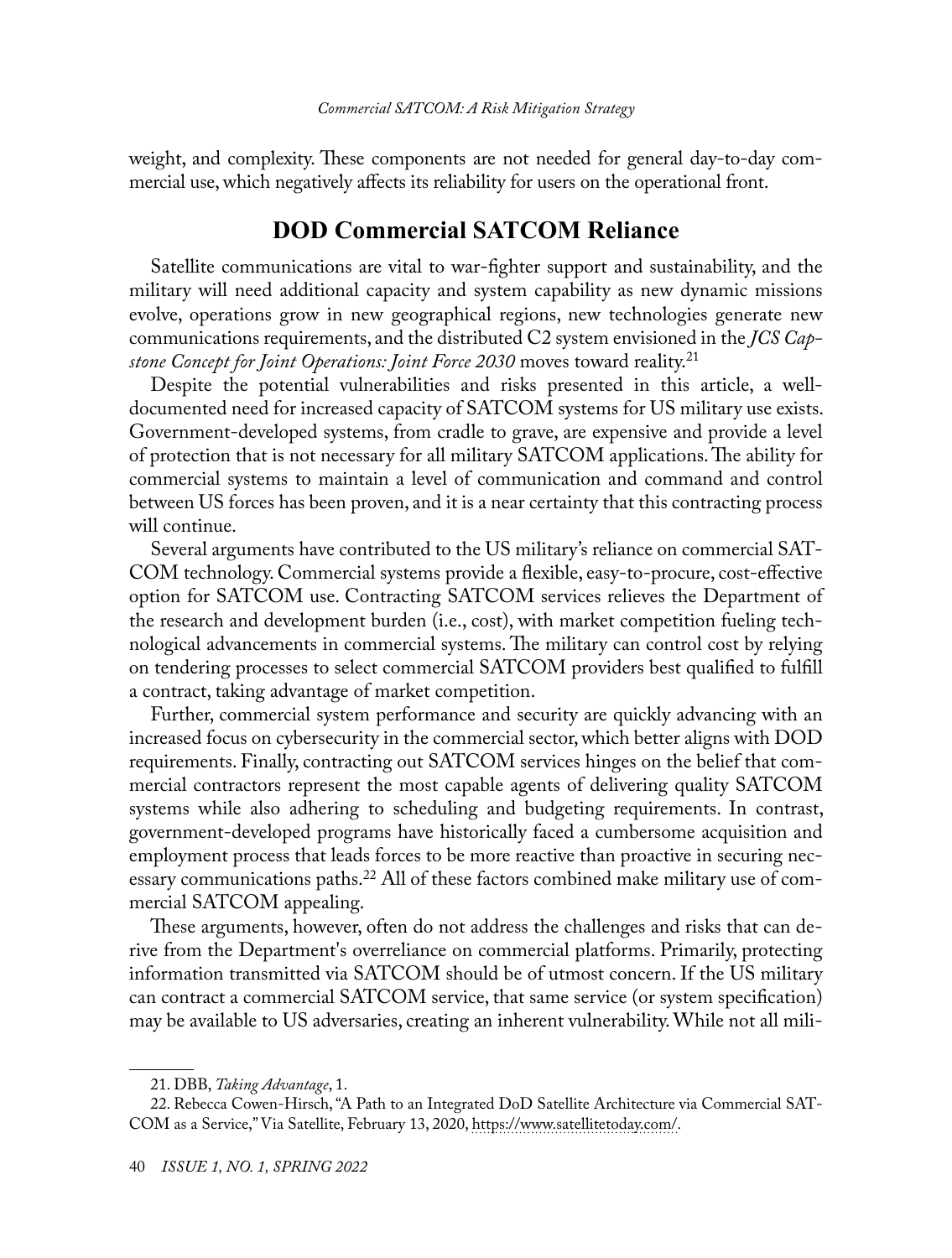weight, and complexity. These components are not needed for general day-to-day commercial use, which negatively affects its reliability for users on the operational front.

### **DOD Commercial SATCOM Reliance**

Satellite communications are vital to war-fighter support and sustainability, and the military will need additional capacity and system capability as new dynamic missions evolve, operations grow in new geographical regions, new technologies generate new communications requirements, and the distributed C2 system envisioned in the *JCS Capstone Concept for Joint Operations: Joint Force 2030* moves toward reality.21

Despite the potential vulnerabilities and risks presented in this article, a welldocumented need for increased capacity of SATCOM systems for US military use exists. Government-developed systems, from cradle to grave, are expensive and provide a level of protection that is not necessary for all military SATCOM applications. The ability for commercial systems to maintain a level of communication and command and control between US forces has been proven, and it is a near certainty that this contracting process will continue.

Several arguments have contributed to the US military's reliance on commercial SAT-COM technology. Commercial systems provide a flexible, easy-to-procure, cost-effective option for SATCOM use. Contracting SATCOM services relieves the Department of the research and development burden (i.e., cost), with market competition fueling technological advancements in commercial systems. The military can control cost by relying on tendering processes to select commercial SATCOM providers best qualified to fulfill a contract, taking advantage of market competition.

Further, commercial system performance and security are quickly advancing with an increased focus on cybersecurity in the commercial sector, which better aligns with DOD requirements. Finally, contracting out SATCOM services hinges on the belief that commercial contractors represent the most capable agents of delivering quality SATCOM systems while also adhering to scheduling and budgeting requirements. In contrast, government-developed programs have historically faced a cumbersome acquisition and employment process that leads forces to be more reactive than proactive in securing necessary communications paths.22 All of these factors combined make military use of commercial SATCOM appealing.

These arguments, however, often do not address the challenges and risks that can derive from the Department's overreliance on commercial platforms. Primarily, protecting information transmitted via SATCOM should be of utmost concern. If the US military can contract a commercial SATCOM service, that same service (or system specification) may be available to US adversaries, creating an inherent vulnerability. While not all mili-

<sup>21.</sup> DBB, *Taking Advantage*, 1.

<sup>22.</sup> Rebecca Cowen-Hirsch, "A Path to an Integrated DoD Satellite Architecture via Commercial SAT-COM as a Service," Via Satellite, February 13, 2020, [https://www.satellitetoday.com/.](https://www.satellitetoday.com/government-military/2020/02/13/a-path-to-an-integrated-DoD-satellite-architecture-via-commercial-satcom-as-a-service/)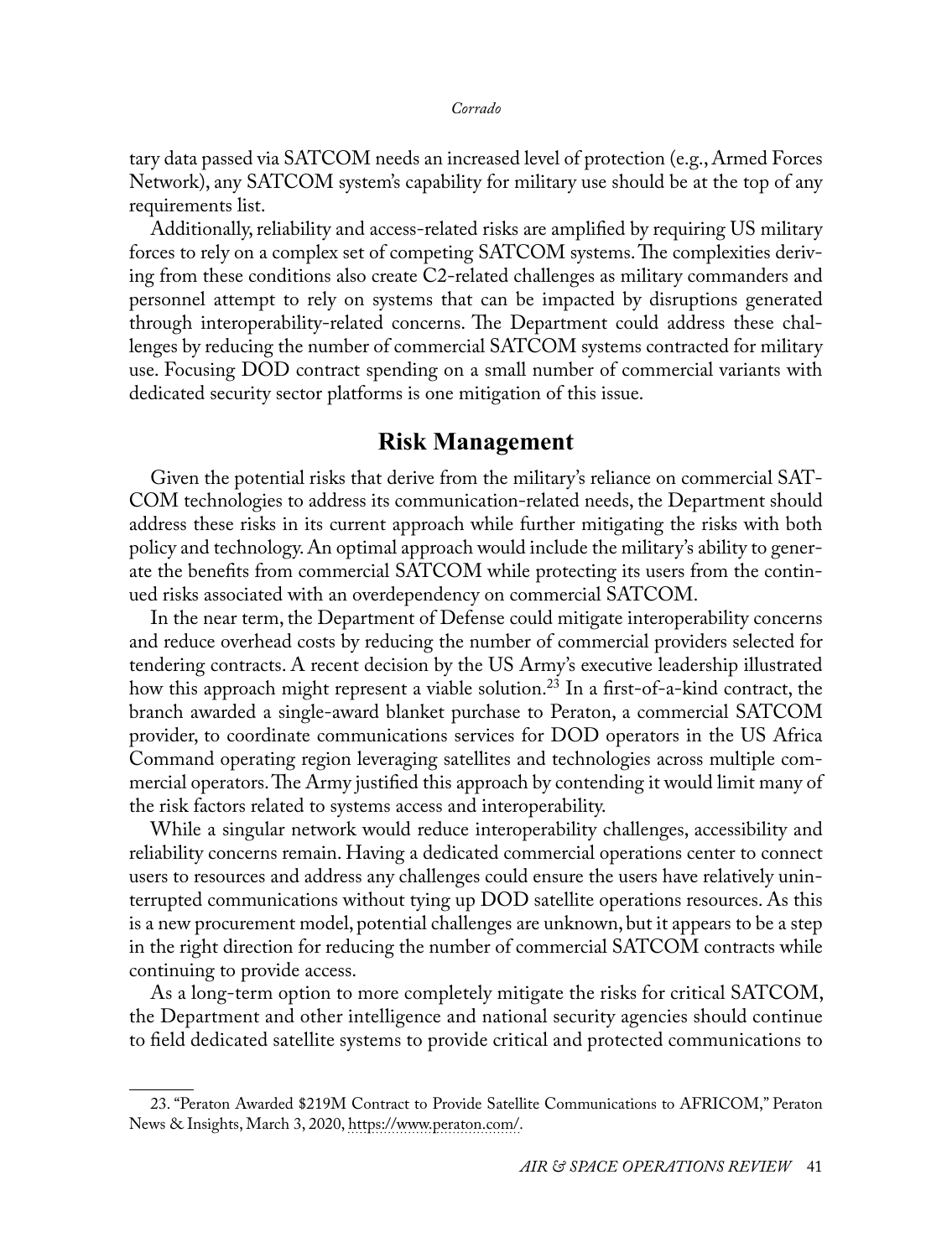tary data passed via SATCOM needs an increased level of protection (e.g., Armed Forces Network), any SATCOM system's capability for military use should be at the top of any requirements list.

Additionally, reliability and access-related risks are amplified by requiring US military forces to rely on a complex set of competing SATCOM systems. The complexities deriving from these conditions also create C2-related challenges as military commanders and personnel attempt to rely on systems that can be impacted by disruptions generated through interoperability-related concerns. The Department could address these challenges by reducing the number of commercial SATCOM systems contracted for military use. Focusing DOD contract spending on a small number of commercial variants with dedicated security sector platforms is one mitigation of this issue.

#### **Risk Management**

Given the potential risks that derive from the military's reliance on commercial SAT-COM technologies to address its communication-related needs, the Department should address these risks in its current approach while further mitigating the risks with both policy and technology. An optimal approach would include the military's ability to generate the benefits from commercial SATCOM while protecting its users from the continued risks associated with an overdependency on commercial SATCOM.

In the near term, the Department of Defense could mitigate interoperability concerns and reduce overhead costs by reducing the number of commercial providers selected for tendering contracts. A recent decision by the US Army's executive leadership illustrated how this approach might represent a viable solution.<sup>23</sup> In a first-of-a-kind contract, the branch awarded a single-award blanket purchase to Peraton, a commercial SATCOM provider, to coordinate communications services for DOD operators in the US Africa Command operating region leveraging satellites and technologies across multiple commercial operators. The Army justified this approach by contending it would limit many of the risk factors related to systems access and interoperability.

While a singular network would reduce interoperability challenges, accessibility and reliability concerns remain. Having a dedicated commercial operations center to connect users to resources and address any challenges could ensure the users have relatively uninterrupted communications without tying up DOD satellite operations resources. As this is a new procurement model, potential challenges are unknown, but it appears to be a step in the right direction for reducing the number of commercial SATCOM contracts while continuing to provide access.

As a long-term option to more completely mitigate the risks for critical SATCOM, the Department and other intelligence and national security agencies should continue to field dedicated satellite systems to provide critical and protected communications to

<sup>23. &</sup>quot;Peraton Awarded \$219M Contract to Provide Satellite Communications to AFRICOM," Peraton News & Insights, March 3, 2020, [https://www.peraton.com/.](https://www.peraton.com/peraton-awarded-219m-contract-to-provide-satellite-communications-to-africom/)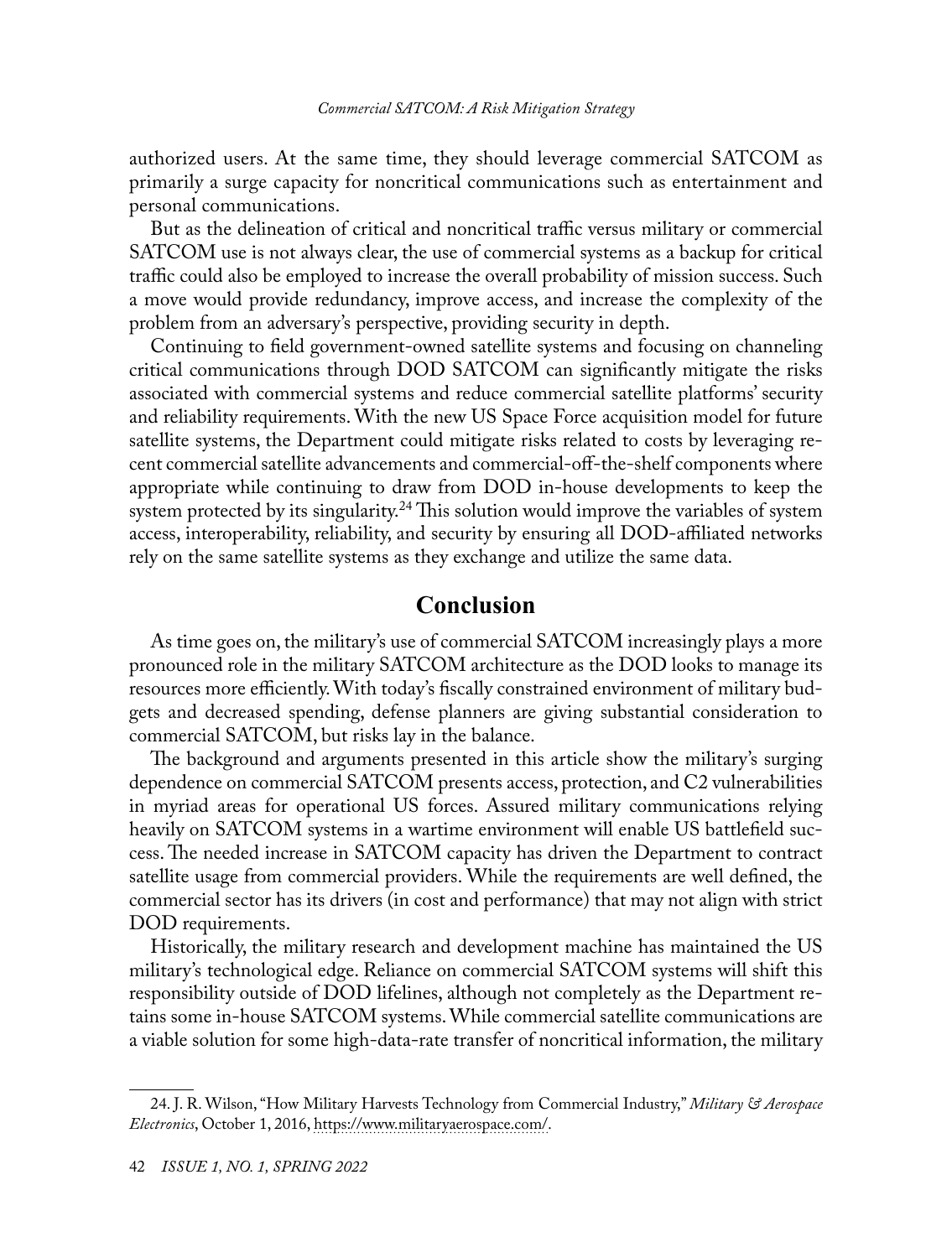authorized users. At the same time, they should leverage commercial SATCOM as primarily a surge capacity for noncritical communications such as entertainment and personal communications.

But as the delineation of critical and noncritical traffic versus military or commercial SATCOM use is not always clear, the use of commercial systems as a backup for critical traffic could also be employed to increase the overall probability of mission success. Such a move would provide redundancy, improve access, and increase the complexity of the problem from an adversary's perspective, providing security in depth.

Continuing to field government-owned satellite systems and focusing on channeling critical communications through DOD SATCOM can significantly mitigate the risks associated with commercial systems and reduce commercial satellite platforms' security and reliability requirements. With the new US Space Force acquisition model for future satellite systems, the Department could mitigate risks related to costs by leveraging recent commercial satellite advancements and commercial-off-the-shelf components where appropriate while continuing to draw from DOD in-house developments to keep the system protected by its singularity.<sup>24</sup> This solution would improve the variables of system access, interoperability, reliability, and security by ensuring all DOD-affiliated networks rely on the same satellite systems as they exchange and utilize the same data.

#### **Conclusion**

As time goes on, the military's use of commercial SATCOM increasingly plays a more pronounced role in the military SATCOM architecture as the DOD looks to manage its resources more efficiently. With today's fiscally constrained environment of military budgets and decreased spending, defense planners are giving substantial consideration to commercial SATCOM, but risks lay in the balance.

The background and arguments presented in this article show the military's surging dependence on commercial SATCOM presents access, protection, and C2 vulnerabilities in myriad areas for operational US forces. Assured military communications relying heavily on SATCOM systems in a wartime environment will enable US battlefield success. The needed increase in SATCOM capacity has driven the Department to contract satellite usage from commercial providers. While the requirements are well defined, the commercial sector has its drivers (in cost and performance) that may not align with strict DOD requirements.

Historically, the military research and development machine has maintained the US military's technological edge. Reliance on commercial SATCOM systems will shift this responsibility outside of DOD lifelines, although not completely as the Department retains some in-house SATCOM systems. While commercial satellite communications are a viable solution for some high-data-rate transfer of noncritical information, the military

<sup>24.</sup> J. R. Wilson, "How Military Harvests Technology from Commercial Industry," *Military & Aerospace Electronics*, October 1, 2016, [https://www.militaryaerospace.com/.](https://www.militaryaerospace.com/communications/article/16709009/how-military-harvests-technology-from-commercial-industry)